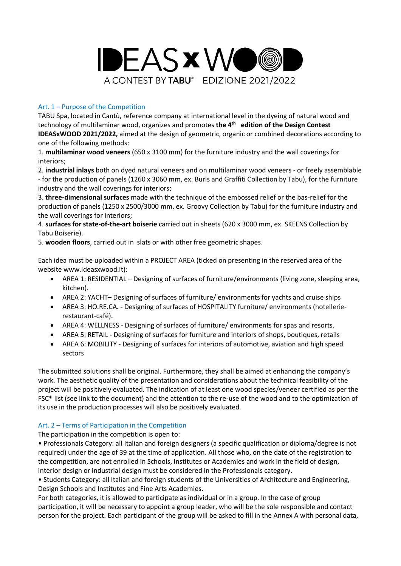

# Art. 1 – Purpose of the Competition

TABU Spa, located in Cantù, reference company at international level in the dyeing of natural wood and technology of multilaminar wood, organizes and promotes the 4<sup>th</sup> edition of the Design Contest **IDEASxWOOD 2021/2022,** aimed at the design of geometric, organic or combined decorations according to one of the following methods:

1. **multilaminar wood veneers** (650 x 3100 mm) for the furniture industry and the wall coverings for interiors;

2. **industrial inlays** both on dyed natural veneers and on multilaminar wood veneers - or freely assemblable - for the production of panels (1260 x 3060 mm, ex. Burls and Graffiti Collection by Tabu), for the furniture industry and the wall coverings for interiors;

3. **three-dimensional surfaces** made with the technique of the embossed relief or the bas-relief for the production of panels (1250 x 2500/3000 mm, ex. Groovy Collection by Tabu) for the furniture industry and the wall coverings for interiors;

4. **surfaces for state-of-the-art boiserie** carried out in sheets (620 x 3000 mm, ex. SKEENS Collection by Tabu Boiserie).

5. **wooden floors**, carried out in slats or with other free geometric shapes.

Each idea must be uploaded within a PROJECT AREA (ticked on presenting in the reserved area of the website www.ideasxwood.it):

- AREA 1: RESIDENTIAL Designing of surfaces of furniture/environments (living zone, sleeping area, kitchen).
- AREA 2: YACHT– Designing of surfaces of furniture/ environments for yachts and cruise ships
- AREA 3: HO.RE.CA. Designing of surfaces of HOSPITALITY furniture/ environments (hotellerierestaurant-café).
- AREA 4: WELLNESS Designing of surfaces of furniture/ environments for spas and resorts.
- AREA 5: RETAIL Designing of surfaces for furniture and interiors of shops, boutiques, retails
- AREA 6: MOBILITY Designing of surfaces for interiors of automotive, aviation and high speed sectors

The submitted solutions shall be original. Furthermore, they shall be aimed at enhancing the company's work. The aesthetic quality of the presentation and considerations about the technical feasibility of the project will be positively evaluated. The indication of at least one wood species/veneer certified as per the FSC® list (see link to the document) and the attention to the re-use of the wood and to the optimization of its use in the production processes will also be positively evaluated.

## Art. 2 – Terms of Participation in the Competition

## The participation in the competition is open to:

• Professionals Category: all Italian and foreign designers (a specific qualification or diploma/degree is not required) under the age of 39 at the time of application. All those who, on the date of the registration to the competition, are not enrolled in Schools, Institutes or Academies and work in the field of design, interior design or industrial design must be considered in the Professionals category.

• Students Category: all Italian and foreign students of the Universities of Architecture and Engineering, Design Schools and Institutes and Fine Arts Academies.

For both categories, it is allowed to participate as individual or in a group. In the case of group participation, it will be necessary to appoint a group leader, who will be the sole responsible and contact person for the project. Each participant of the group will be asked to fill in the Annex A with personal data,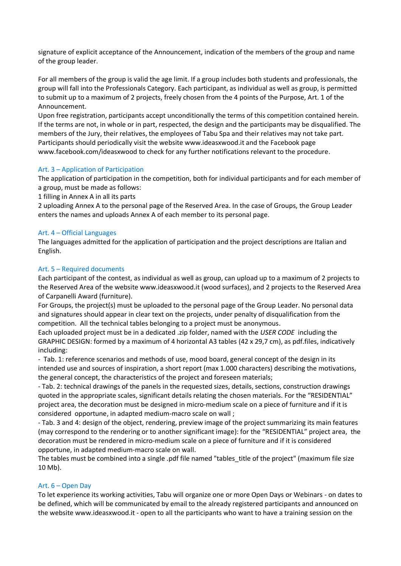signature of explicit acceptance of the Announcement, indication of the members of the group and name of the group leader.

For all members of the group is valid the age limit. If a group includes both students and professionals, the group will fall into the Professionals Category. Each participant, as individual as well as group, is permitted to submit up to a maximum of 2 projects, freely chosen from the 4 points of the Purpose, Art. 1 of the Announcement.

Upon free registration, participants accept unconditionally the terms of this competition contained herein. If the terms are not, in whole or in part, respected, the design and the participants may be disqualified. The members of the Jury, their relatives, the employees of Tabu Spa and their relatives may not take part. Participants should periodically visit the website www.ideasxwood.it and the Facebook page www.facebook.com/ideasxwood to check for any further notifications relevant to the procedure.

## Art. 3 – Application of Participation

The application of participation in the competition, both for individual participants and for each member of a group, must be made as follows:

1 filling in Annex A in all its parts

2 uploading Annex A to the personal page of the Reserved Area. In the case of Groups, the Group Leader enters the names and uploads Annex A of each member to its personal page.

## Art. 4 – Official Languages

The languages admitted for the application of participation and the project descriptions are Italian and English.

## Art. 5 – Required documents

Each participant of the contest, as individual as well as group, can upload up to a maximum of 2 projects to the Reserved Area of the website www.ideasxwood.it (wood surfaces), and 2 projects to the Reserved Area of Carpanelli Award (furniture).

For Groups, the project(s) must be uploaded to the personal page of the Group Leader. No personal data and signatures should appear in clear text on the projects, under penalty of disqualification from the competition. All the technical tables belonging to a project must be anonymous.

Each uploaded project must be in a dedicated .zip folder, named with the *USER CODE* including the GRAPHIC DESIGN: formed by a maximum of 4 horizontal A3 tables (42 x 29,7 cm), as pdf.files, indicatively including:

- Tab. 1: reference scenarios and methods of use, mood board, general concept of the design in its intended use and sources of inspiration, a short report (max 1.000 characters) describing the motivations, the general concept, the characteristics of the project and foreseen materials;

- Tab. 2: technical drawings of the panels in the requested sizes, details, sections, construction drawings quoted in the appropriate scales, significant details relating the chosen materials. For the "RESIDENTIAL" project area, the decoration must be designed in micro-medium scale on a piece of furniture and if it is considered opportune, in adapted medium-macro scale on wall ;

- Tab. 3 and 4: design of the object, rendering, preview image of the project summarizing its main features (may correspond to the rendering or to another significant image): for the "RESIDENTIAL" project area, the decoration must be rendered in micro-medium scale on a piece of furniture and if it is considered opportune, in adapted medium-macro scale on wall.

The tables must be combined into a single .pdf file named "tables\_title of the project" (maximum file size 10 Mb).

## Art. 6 – Open Day

To let experience its working activities, Tabu will organize one or more Open Days or Webinars - on dates to be defined, which will be communicated by email to the already registered participants and announced on the website www.ideasxwood.it - open to all the participants who want to have a training session on the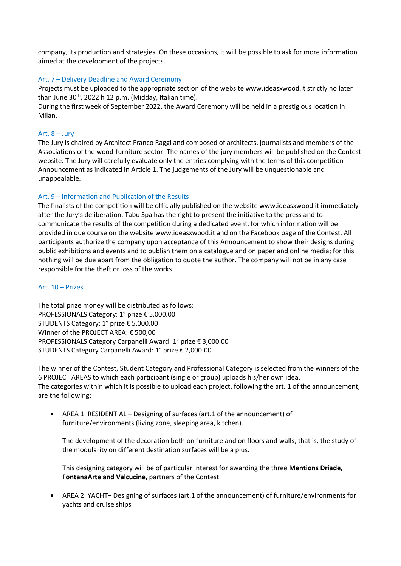company, its production and strategies. On these occasions, it will be possible to ask for more information aimed at the development of the projects.

## Art. 7 – Delivery Deadline and Award Ceremony

Projects must be uploaded to the appropriate section of the website www.ideasxwood.it strictly no later than June 30<sup>th</sup>, 2022 h 12 p.m. (Midday, Italian time).

During the first week of September 2022, the Award Ceremony will be held in a prestigious location in Milan.

## Art. 8 – Jury

The Jury is chaired by Architect Franco Raggi and composed of architects, journalists and members of the Associations of the wood-furniture sector. The names of the jury members will be published on the Contest website. The Jury will carefully evaluate only the entries complying with the terms of this competition Announcement as indicated in Article 1. The judgements of the Jury will be unquestionable and unappealable.

## Art. 9 – Information and Publication of the Results

The finalists of the competition will be officially published on the website www.ideasxwood.it immediately after the Jury's deliberation. Tabu Spa has the right to present the initiative to the press and to communicate the results of the competition during a dedicated event, for which information will be provided in due course on the website www.ideasxwood.it and on the Facebook page of the Contest. All participants authorize the company upon acceptance of this Announcement to show their designs during public exhibitions and events and to publish them on a catalogue and on paper and online media; for this nothing will be due apart from the obligation to quote the author. The company will not be in any case responsible for the theft or loss of the works.

## Art. 10 – Prizes

The total prize money will be distributed as follows: PROFESSIONALS Category: 1° prize € 5,000.00 STUDENTS Category: 1° prize € 5,000.00 Winner of the PROJECT AREA: € 500,00 PROFESSIONALS Category Carpanelli Award: 1° prize € 3,000.00 STUDENTS Category Carpanelli Award: 1° prize € 2,000.00

The winner of the Contest, Student Category and Professional Category is selected from the winners of the 6 PROJECT AREAS to which each participant (single or group) uploads his/her own idea. The categories within which it is possible to upload each project, following the art. 1 of the announcement, are the following:

 AREA 1: RESIDENTIAL – Designing of surfaces (art.1 of the announcement) of furniture/environments (living zone, sleeping area, kitchen).

The development of the decoration both on furniture and on floors and walls, that is, the study of the modularity on different destination surfaces will be a plus.

This designing category will be of particular interest for awarding the three **Mentions Driade, FontanaArte and Valcucine**, partners of the Contest.

 AREA 2: YACHT– Designing of surfaces (art.1 of the announcement) of furniture/environments for yachts and cruise ships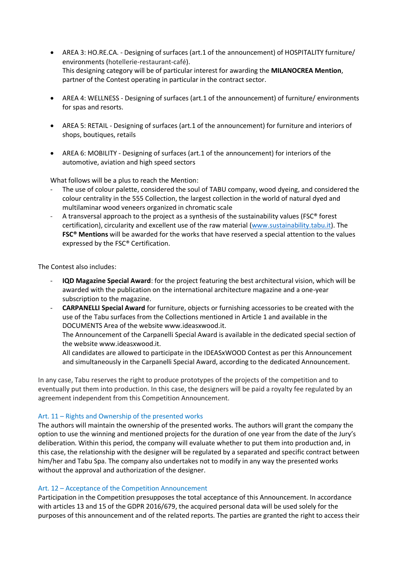- AREA 3: HO.RE.CA. Designing of surfaces (art.1 of the announcement) of HOSPITALITY furniture/ environments (hotellerie-restaurant-café). This designing category will be of particular interest for awarding the **MILANOCREA Mention**, partner of the Contest operating in particular in the contract sector.
- AREA 4: WELLNESS Designing of surfaces (art.1 of the announcement) of furniture/ environments for spas and resorts.
- AREA 5: RETAIL Designing of surfaces (art.1 of the announcement) for furniture and interiors of shops, boutiques, retails
- AREA 6: MOBILITY Designing of surfaces (art.1 of the announcement) for interiors of the automotive, aviation and high speed sectors

What follows will be a plus to reach the Mention:

- The use of colour palette, considered the soul of TABU company, wood dyeing, and considered the colour centrality in the 555 Collection, the largest collection in the world of natural dyed and multilaminar wood veneers organized in chromatic scale
- A transversal approach to the project as a synthesis of the sustainability values (FSC® forest certification), circularity and excellent use of the raw material [\(www.sustainability.tabu.it\)](http://www.sustainability.tabu.it/). The **FSC® Mentions** will be awarded for the works that have reserved a special attention to the values expressed by the FSC® Certification.

The Contest also includes:

- **IQD Magazine Special Award**: for the project featuring the best architectural vision, which will be awarded with the publication on the international architecture magazine and a one-year subscription to the magazine.
- **CARPANELLI Special Award** for furniture, objects or furnishing accessories to be created with the use of the Tabu surfaces from the Collections mentioned in Article 1 and available in the DOCUMENTS Area of the website www.ideasxwood.it.

The Announcement of the Carpanelli Special Award is available in the dedicated special section of the website www.ideasxwood.it.

All candidates are allowed to participate in the IDEASxWOOD Contest as per this Announcement and simultaneously in the Carpanelli Special Award, according to the dedicated Announcement.

In any case, Tabu reserves the right to produce prototypes of the projects of the competition and to eventually put them into production. In this case, the designers will be paid a royalty fee regulated by an agreement independent from this Competition Announcement.

#### Art. 11 – Rights and Ownership of the presented works

The authors will maintain the ownership of the presented works. The authors will grant the company the option to use the winning and mentioned projects for the duration of one year from the date of the Jury's deliberation. Within this period, the company will evaluate whether to put them into production and, in this case, the relationship with the designer will be regulated by a separated and specific contract between him/her and Tabu Spa. The company also undertakes not to modify in any way the presented works without the approval and authorization of the designer.

#### Art. 12 – Acceptance of the Competition Announcement

Participation in the Competition presupposes the total acceptance of this Announcement. In accordance with articles 13 and 15 of the GDPR 2016/679, the acquired personal data will be used solely for the purposes of this announcement and of the related reports. The parties are granted the right to access their